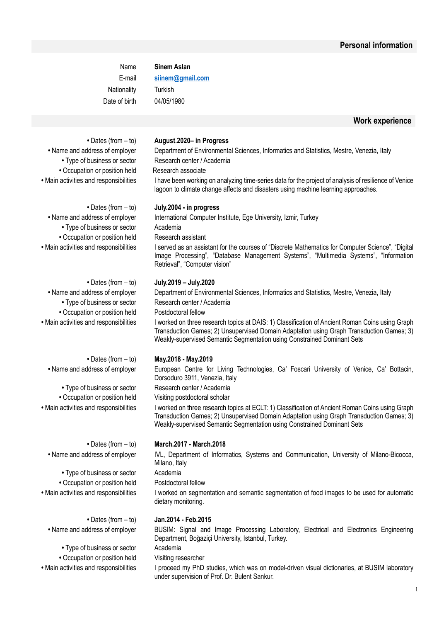Name **Sinem Aslan** E-mail **siinem@gmail.com** Nationality Turkish Date of birth 04/05/1980

#### **Work experience**

**•** Occupation or position held Research associate

**•** Type of business or sector Academia **•** Occupation or position held Research assistant

• Type of business or sector Research center / Academia **•** Occupation or position held Postdoctoral fellow

• Type of business or sector Research center / Academia **•** Occupation or position held Visiting postdoctoral scholar

• Type of business or sector Academia **•** Occupation or position held Postdoctoral fellow

**•** Type of business or sector Academia **•** Occupation or position held Visiting researcher

#### **•** Dates (from – to) **August.2020– in Progress**

**•** Name and address of employer Department of Environmental Sciences, Informatics and Statistics, Mestre, Venezia, Italy • Type of business or sector Research center / Academia

• Main activities and responsibilities labor thave been working on analyzing time-series data for the project of analysis of resilience of Venice lagoon to climate change affects and disasters using machine learning approaches.

#### **•** Dates (from – to) **July.2004 - in progress**

• Name and address of employer International Computer Institute, Ege University, Izmir, Turkey

• Main activities and responsibilities Iserved as an assistant for the courses of "Discrete Mathematics for Computer Science", "Digital" Image Processing", "Database Management Systems", "Multimedia Systems", "Information Retrieval", "Computer vision"

#### **•** Dates (from – to) **July.2019 – July.2020**

**•** Name and address of employer Department of Environmental Sciences, Informatics and Statistics, Mestre, Venezia, Italy

• Main activities and responsibilities lworked on three research topics at DAIS: 1) Classification of Ancient Roman Coins using Graph Transduction Games; 2) Unsupervised Domain Adaptation using Graph Transduction Games; 3) Weakly-supervised Semantic Segmentation using Constrained Dominant Sets

#### **•** Dates (from – to) **May.2018 - May.2019**

**•** Name and address of employer European Centre for Living Technologies, Ca' Foscari University of Venice, Ca' Bottacin, Dorsoduro 3911, Venezia, Italy

• Main activities and responsibilities lworked on three research topics at ECLT: 1) Classification of Ancient Roman Coins using Graph Transduction Games; 2) Unsupervised Domain Adaptation using Graph Transduction Games; 3) Weakly-supervised Semantic Segmentation using Constrained Dominant Sets

#### **•** Dates (from – to) **March.2017 - March.2018**

**•** Name and address of employer IVL, Department of Informatics, Systems and Communication, University of Milano-Bicocca, Milano, Italy

• Main activities and responsibilities I worked on segmentation and semantic segmentation of food images to be used for automatic dietary monitoring.

#### **•** Dates (from – to) **Jan.2014 - Feb.2015**

**•** Name and address of employer BUSIM: Signal and Image Processing Laboratory, Electrical and Electronics Engineering Department, Boğaziçi University, Istanbul, Turkey.

• Main activities and responsibilities I proceed my PhD studies, which was on model-driven visual dictionaries, at BUSIM laboratory under supervision of Prof. Dr. Bulent Sankur.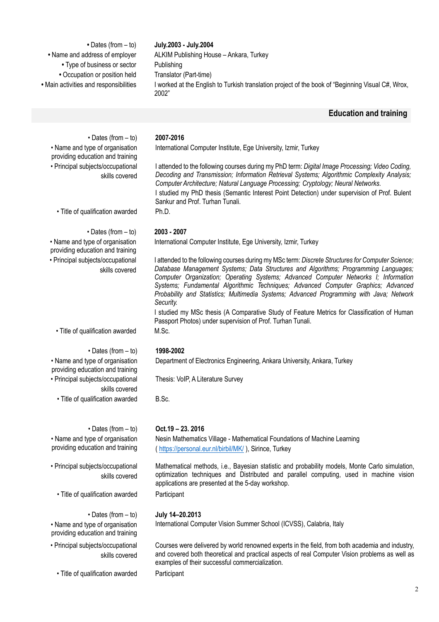| July.2003 - July.2004                                                                                      |
|------------------------------------------------------------------------------------------------------------|
| ALKIM Publishing House - Ankara, Turkey                                                                    |
| Publishing                                                                                                 |
| Translator (Part-time)                                                                                     |
| I worked at the English to Turkish translation project of the book of "Beginning Visual C#, Wrox,<br>2002" |
|                                                                                                            |

# **Education and training**

| $\cdot$ Dates (from $-$ to)                                         | 2007-2016                                                                                                                                                                                                                                                                                                                                                                                                                                                                    |
|---------------------------------------------------------------------|------------------------------------------------------------------------------------------------------------------------------------------------------------------------------------------------------------------------------------------------------------------------------------------------------------------------------------------------------------------------------------------------------------------------------------------------------------------------------|
| • Name and type of organisation<br>providing education and training | International Computer Institute, Ege University, Izmir, Turkey                                                                                                                                                                                                                                                                                                                                                                                                              |
| • Principal subjects/occupational<br>skills covered                 | I attended to the following courses during my PhD term: Digital Image Processing; Video Coding,<br>Decoding and Transmission; Information Retrieval Systems; Algorithmic Complexity Analysis;<br>Computer Architecture; Natural Language Processing; Cryptology; Neural Networks.<br>I studied my PhD thesis (Semantic Interest Point Detection) under supervision of Prof. Bulent<br>Sankur and Prof. Turhan Tunali.                                                        |
| · Title of qualification awarded                                    | Ph.D.                                                                                                                                                                                                                                                                                                                                                                                                                                                                        |
| $\cdot$ Dates (from $-$ to)                                         | 2003 - 2007                                                                                                                                                                                                                                                                                                                                                                                                                                                                  |
| • Name and type of organisation<br>providing education and training | International Computer Institute, Ege University, Izmir, Turkey                                                                                                                                                                                                                                                                                                                                                                                                              |
| • Principal subjects/occupational<br>skills covered                 | I attended to the following courses during my MSc term: Discrete Structures for Computer Science;<br>Database Management Systems; Data Structures and Algorithms; Programming Languages;<br>Computer Organization; Operating Systems; Advanced Computer Networks I; Information<br>Systems; Fundamental Algorithmic Techniques; Advanced Computer Graphics; Advanced<br>Probability and Statistics; Multimedia Systems; Advanced Programming with Java; Network<br>Security. |
|                                                                     | I studied my MSc thesis (A Comparative Study of Feature Metrics for Classification of Human<br>Passport Photos) under supervision of Prof. Turhan Tunali.                                                                                                                                                                                                                                                                                                                    |
| • Title of qualification awarded                                    | M.Sc.                                                                                                                                                                                                                                                                                                                                                                                                                                                                        |
| $\cdot$ Dates (from $-$ to)                                         | 1998-2002                                                                                                                                                                                                                                                                                                                                                                                                                                                                    |
| • Name and type of organisation<br>providing education and training | Department of Electronics Engineering, Ankara University, Ankara, Turkey                                                                                                                                                                                                                                                                                                                                                                                                     |
| • Principal subjects/occupational<br>skills covered                 | Thesis: VoIP, A Literature Survey                                                                                                                                                                                                                                                                                                                                                                                                                                            |
| • Title of qualification awarded                                    | B.Sc.                                                                                                                                                                                                                                                                                                                                                                                                                                                                        |
| $\cdot$ Dates (from $-$ to)                                         | $Oct.19 - 23.2016$                                                                                                                                                                                                                                                                                                                                                                                                                                                           |
| • Name and type of organisation                                     | Nesin Mathematics Village - Mathematical Foundations of Machine Learning                                                                                                                                                                                                                                                                                                                                                                                                     |
| providing education and training                                    | (https://personal.eur.nl/birbil/MK/), Sirince, Turkey                                                                                                                                                                                                                                                                                                                                                                                                                        |
| • Principal subjects/occupational<br>skills covered                 | Mathematical methods, i.e., Bayesian statistic and probability models, Monte Carlo simulation,<br>optimization techniques and Distributed and parallel computing, used in machine vision<br>applications are presented at the 5-day workshop.                                                                                                                                                                                                                                |
| • Title of qualification awarded                                    | Participant                                                                                                                                                                                                                                                                                                                                                                                                                                                                  |
| $\cdot$ Dates (from $-$ to)                                         | July 14-20.2013                                                                                                                                                                                                                                                                                                                                                                                                                                                              |
| • Name and type of organisation<br>providing education and training | International Computer Vision Summer School (ICVSS), Calabria, Italy                                                                                                                                                                                                                                                                                                                                                                                                         |
| • Principal subjects/occupational<br>skills covered                 | Courses were delivered by world renowned experts in the field, from both academia and industry,<br>and covered both theoretical and practical aspects of real Computer Vision problems as well as<br>examples of their successful commercialization.                                                                                                                                                                                                                         |
| • Title of qualification awarded                                    | Participant                                                                                                                                                                                                                                                                                                                                                                                                                                                                  |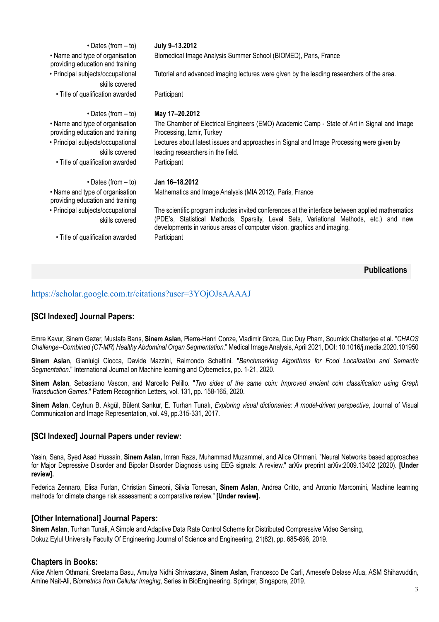| $\cdot$ Dates (from $-$ to)                                         | July 9-13.2012                                                                                                                                                                                                                                                       |
|---------------------------------------------------------------------|----------------------------------------------------------------------------------------------------------------------------------------------------------------------------------------------------------------------------------------------------------------------|
| • Name and type of organisation<br>providing education and training | Biomedical Image Analysis Summer School (BIOMED), Paris, France                                                                                                                                                                                                      |
| • Principal subjects/occupational<br>skills covered                 | Tutorial and advanced imaging lectures were given by the leading researchers of the area.                                                                                                                                                                            |
| • Title of qualification awarded                                    | Participant                                                                                                                                                                                                                                                          |
| $\cdot$ Dates (from $-$ to)                                         | May 17-20.2012                                                                                                                                                                                                                                                       |
| • Name and type of organisation<br>providing education and training | The Chamber of Electrical Engineers (EMO) Academic Camp - State of Art in Signal and Image<br>Processing, Izmir, Turkey                                                                                                                                              |
| • Principal subjects/occupational<br>skills covered                 | Lectures about latest issues and approaches in Signal and Image Processing were given by<br>leading researchers in the field.                                                                                                                                        |
| • Title of qualification awarded                                    | Participant                                                                                                                                                                                                                                                          |
| $\cdot$ Dates (from $-$ to)                                         | Jan 16-18.2012                                                                                                                                                                                                                                                       |
| • Name and type of organisation<br>providing education and training | Mathematics and Image Analysis (MIA 2012), Paris, France                                                                                                                                                                                                             |
| • Principal subjects/occupational<br>skills covered                 | The scientific program includes invited conferences at the interface between applied mathematics<br>(PDE's, Statistical Methods, Sparsity, Level Sets, Variational Methods, etc.) and new<br>developments in various areas of computer vision, graphics and imaging. |
| • Title of qualification awarded                                    | Participant                                                                                                                                                                                                                                                          |

```
Publications
```
# https://scholar.google.com.tr/citations?user=3YOjOJsAAAAJ

# **[SCI Indexed] Journal Papers:**

Emre Kavur, Sinem Gezer, Mustafa Barıș, **Sinem Aslan**, Pierre-Henri Conze, Vladimir Groza, Duc Duy Pham, Soumick Chatterjee et al. "*CHAOS Challenge--Combined (CT-MR) Healthy Abdominal Organ Segmentation*." Medical Image Analysis, April 2021, DOI: 10.1016/j.media.2020.101950

**Sinem Aslan**, Gianluigi Ciocca, Davide Mazzini, Raimondo Schettini. "*Benchmarking Algorithms for Food Localization and Semantic Segmentation.*" International Journal on Machine learning and Cybernetics, pp. 1-21, 2020.

**Sinem Aslan**, Sebastiano Vascon, and Marcello Pelillo. "*Two sides of the same coin: Improved ancient coin classification using Graph Transduction Games*." Pattern Recognition Letters, vol. 131, pp. 158-165, 2020.

**Sinem Aslan**, Ceyhun B. Akgül, Bülent Sankur, E. Turhan Tunalı, *Exploring visual dictionaries: A model-driven perspective*, Journal of Visual Communication and Image Representation, vol. 49, pp.315-331, 2017.

# **[SCI Indexed] Journal Papers under review:**

Yasin, Sana, Syed Asad Hussain, **Sinem Aslan,** Imran Raza, Muhammad Muzammel, and Alice Othmani. "Neural Networks based approaches for Major Depressive Disorder and Bipolar Disorder Diagnosis using EEG signals: A review." arXiv preprint arXiv:2009.13402 (2020). **[Under review].**

Federica Zennaro, Elisa Furlan, Christian Simeoni, Silvia Torresan, **Sinem Aslan**, Andrea Critto, and Antonio Marcomini, Machine learning methods for climate change risk assessment: a comparative review." **[Under review].**

# **[Other International] Journal Papers:**

**Sinem Aslan**, Turhan Tunali, A Simple and Adaptive Data Rate Control Scheme for Distributed Compressive Video Sensing, Dokuz Eylul University Faculty Of Engineering Journal of Science and Engineering, 21(62), pp. 685-696, 2019.

# **Chapters in Books:**

Alice Ahlem Othmani, Sreetama Basu, Amulya Nidhi Shrivastava, **Sinem Aslan**, Francesco De Carli, Amesefe Delase Afua, ASM Shihavuddin, Amine Nait-Ali, B*iometrics from Cellular Imaging*, Series in BioEngineering. Springer, Singapore, 2019.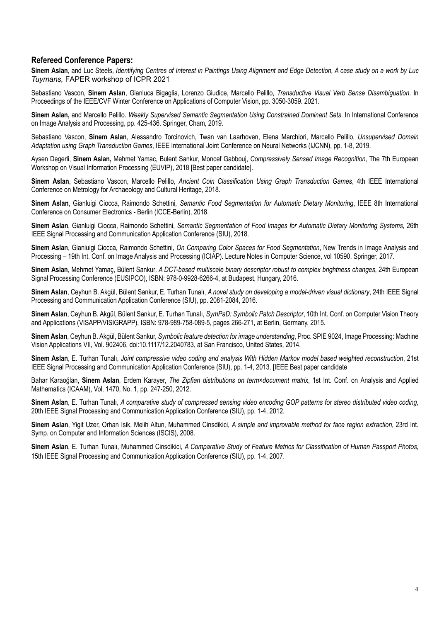# **Refereed Conference Papers:**

**Sinem Aslan**, and Luc Steels, *Identifying Centres of Interest in Paintings Using Alignment and Edge Detection, A case study on a work by Luc Tuymans,* FAPER workshop of ICPR 2021

Sebastiano Vascon, **Sinem Aslan**, Gianluca Bigaglia, Lorenzo Giudice, Marcello Pelillo, *Transductive Visual Verb Sense Disambiguation*. In Proceedings of the IEEE/CVF Winter Conference on Applications of Computer Vision, pp. 3050-3059. 2021.

**Sinem Aslan,** and Marcello Pelillo. *Weakly Supervised Semantic Segmentation Using Constrained Dominant Sets*. In International Conference on Image Analysis and Processing, pp. 425-436. Springer, Cham, 2019.

Sebastiano Vascon, **Sinem Aslan**, Alessandro Torcinovich, Twan van Laarhoven, Elena Marchiori, Marcello Pelillo, *Unsupervised Domain Adaptation using Graph Transduction Games*, IEEE International Joint Conference on Neural Networks (IJCNN), pp. 1-8, 2019.

Aysen Degerli, **Sinem Aslan,** Mehmet Yamac, Bulent Sankur, Moncef Gabbouj, *Compressively Sensed Image Recognition*, The 7th European Workshop on Visual Information Processing (EUVIP), 2018 [Best paper candidate].

**Sinem Aslan**, Sebastiano Vascon, Marcello Pelillo, *Ancient Coin Classification Using Graph Transduction Games*, 4th IEEE International Conference on Metrology for Archaeology and Cultural Heritage, 2018.

**Sinem Aslan**, Gianluigi Ciocca, Raimondo Schettini*, Semantic Food Segmentation for Automatic Dietary Monitoring*, IEEE 8th International Conference on Consumer Electronics - Berlin (ICCE-Berlin), 2018.

**Sinem Aslan**, Gianluigi Ciocca, Raimondo Schettini, *Semantic Segmentation of Food Images for Automatic Dietary Monitoring Systems*, 26th IEEE Signal Processing and Communication Application Conference (SIU), 2018.

**Sinem Aslan**, Gianluigi Ciocca, Raimondo Schettini, *On Comparing Color Spaces for Food Segmentation*, New Trends in Image Analysis and Processing – 19th Int. Conf. on Image Analysis and Processing (ICIAP). Lecture Notes in Computer Science, vol 10590. Springer, 2017.

**Sinem Aslan**, Mehmet Yamaç, Bülent Sankur*, A DCT-based multiscale binary descriptor robust to complex brightness changes*, 24th European Signal Processing Conference (EUSIPCO), ISBN: 978-0-9928-6266-4, at Budapest, Hungary, 2016.

**Sinem Aslan**, Ceyhun B. Akgül, Bülent Sankur, E. Turhan Tunalı, *A novel study on developing a model-driven visual dictionary*, 24th IEEE Signal Processing and Communication Application Conference (SIU), pp. 2081-2084, 2016.

**Sinem Aslan**, Ceyhun B. Akgül, Bülent Sankur, E. Turhan Tunalı, *SymPaD: Symbolic Patch Descriptor*, 10th Int. Conf. on Computer Vision Theory and Applications (VISAPP/VISIGRAPP), ISBN: 978-989-758-089-5, pages 266-271, at Berlin, Germany, 2015.

**Sinem Aslan**, Ceyhun B. Akgül, Bülent Sankur, *Symbolic feature detection for image understanding*, Proc. SPIE 9024, Image Processing: Machine Vision Applications VII, Vol. 902406, doi:10.1117/12.2040783, at San Francisco, United States, 2014.

**Sinem Aslan**, E. Turhan Tunalı, *Joint compressive video coding and analysis With Hidden Markov model based weighted reconstruction*, 21st IEEE Signal Processing and Communication Application Conference (SIU), pp. 1-4, 2013. [IEEE Best paper candidate

Bahar Karaoğlan, **Sinem Aslan**, Erdem Karayer, *The Zipfian distributions on term×document matrix*, 1st Int. Conf. on Analysis and Applied Mathematics (ICAAM), Vol. 1470, No. 1, pp. 247-250, 2012.

**Sinem Aslan**, E. Turhan Tunalı, *A comparative study of compressed sensing video encoding GOP patterns for stereo distributed video coding*, 20th IEEE Signal Processing and Communication Application Conference (SIU), pp. 1-4, 2012.

**Sinem Aslan**, Yigit Uzer, Orhan Isik, Melih Altun, Muhammed Cinsdikici, *A simple and improvable method for face region extraction*, 23rd Int. Symp. on Computer and Information Sciences (ISCIS), 2008.

**Sinem Aslan**, E. Turhan Tunalı, Muhammed Cinsdikici, *A Comparative Study of Feature Metrics for Classification of Human Passport Photos*, 15th IEEE Signal Processing and Communication Application Conference (SIU), pp. 1-4, 2007.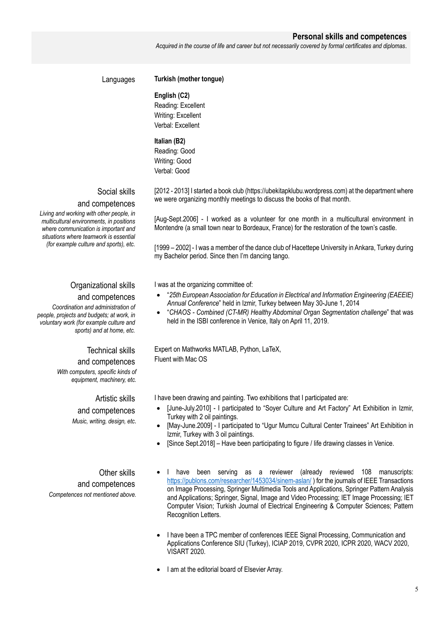## **Personal skills and competences**

*Acquired in the course of life and career but not necessarily covered by formal certificates and diplomas*.

# Languages **Turkish (mother tongue)**

### **English (C2)**

Reading: Excellent Writing: Excellent Verbal: Excellent

# **Italian (B2)**

Reading: Good Writing: Good Verbal: Good

Social skills and competences

*Living and working with other people, in multicultural environments, in positions where communication is important and situations where teamwork is essential (for example culture and sports), etc.*

# Organizational skills

## and competences

*Coordination and administration of people, projects and budgets; at work, in voluntary work (for example culture and sports) and at home, etc.*

# Technical skills

## and competences

*With computers, specific kinds of equipment, machinery, etc.*

> Artistic skills and competences *Music, writing, design, etc*.

Other skills and competences *Competences not mentioned above.* [2012 - 2013] I started a book club (https://ubekitapklubu.wordpress.com) at the department where we were organizing monthly meetings to discuss the books of that month.

[Aug-Sept.2006] - I worked as a volunteer for one month in a multicultural environment in Montendre (a small town near to Bordeaux, France) for the restoration of the town's castle.

[1999 – 2002] - I was a member of the dance club of Hacettepe University in Ankara, Turkey during my Bachelor period. Since then I'm dancing tango.

I was at the organizing committee of:

- "*25th European Association for Education in Electrical and Information Engineering (EAEEIE) Annual Conference*" held in Izmir, Turkey between May 30-June 1, 2014
- "*CHAOS - Combined (CT-MR) Healthy Abdominal Organ Segmentation challenge*" that was held in the ISBI conference in Venice, Italy on April 11, 2019.

Expert on Mathworks MATLAB, Python, LaTeX, Fluent with Mac OS

I have been drawing and painting. Two exhibitions that I participated are:

- [June-July.2010] I participated to "Soyer Culture and Art Factory" Art Exhibition in Izmir, Turkey with 2 oil paintings.
- [May-June.2009] I participated to "Ugur Mumcu Cultural Center Trainees" Art Exhibition in Izmir, Turkey with 3 oil paintings.
- [Since Sept.2018] Have been participating to figure / life drawing classes in Venice.
- I have been serving as a reviewer (already reviewed 108 manuscripts: https://publons.com/researcher/1453034/sinem-aslan/ ) for the journals of IEEE Transactions on Image Processing, Springer Multimedia Tools and Applications, Springer Pattern Analysis and Applications; Springer, Signal, Image and Video Processing; IET Image Processing; IET Computer Vision; Turkish Journal of Electrical Engineering & Computer Sciences; Pattern Recognition Letters.
- I have been a TPC member of conferences IEEE Signal Processing, Communication and Applications Conference SIU (Turkey), ICIAP 2019, CVPR 2020, ICPR 2020, WACV 2020, VISART 2020.
- I am at the editorial board of Elsevier Array.